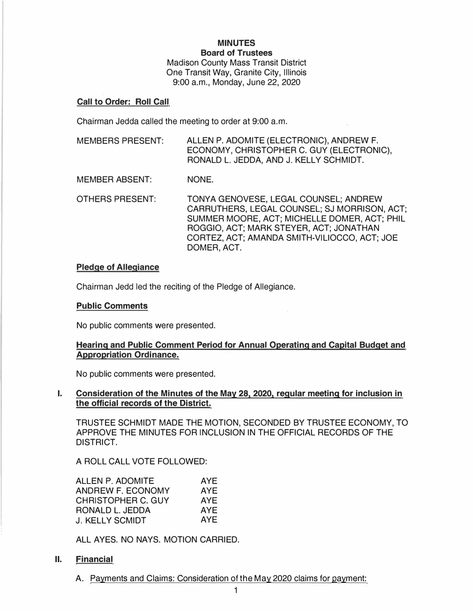**MINUTES Board of Trustees**  Madison County Mass Transit District One Transit Way, Granite City, Illinois 9:00 a.m., Monday, June 22, 2020

## **Call to Order: Roll Call**

Chairman Jedda called the meeting to order at 9:00 a.m.

MEMBERS PRESENT: ALLEN P. ADOMITE (ELECTRONIC), ANDREW F. ECONOMY, CHRISTOPHER C. GUY (ELECTRONIC), RONALD L. JEDDA, AND J. KELLY SCHMIDT.

MEMBER ABSENT: NONE.

OTHERS PRESENT: TONYA GENOVESE, LEGAL COUNSEL; ANDREW CARRUTHERS, LEGAL COUNSEL; SJ MORRISON, ACT; SUMMER MOORE, ACT; MICHELLE DOMER, ACT; PHIL ROGGIO, ACT; MARK STEYER, ACT; JONATHAN CORTEZ, ACT; AMANDA SMITH-VILIOCCO, ACT; JOE DOMER, ACT.

### **Pledge of Allegiance**

Chairman Jedd led the reciting of the Pledge of Allegiance.

### **Public Comments**

No public comments were presented.

# **Hearing and Public Comment Period for Annual Operating and Capital Budget and Appropriation Ordinance.**

No public comments were presented.

**I. Consideration of the Minutes of the May 281 2020. regular meeting for inclusion in the official records of the District.**

TRUSTEE SCHMIDT MADE THE MOTION, SECONDED BY TRUSTEE ECONOMY, TO APPROVE THE MINUTES FOR INCLUSION IN THE OFFICIAL RECORDS OF THE DISTRICT.

A ROLL CALL VOTE FOLLOWED:

| ALLEN P. ADOMITE       | <b>AYE</b> |
|------------------------|------------|
| ANDREW F. ECONOMY      | AYE        |
| CHRISTOPHER C. GUY     | <b>AYE</b> |
| RONALD L. JEDDA        | <b>AYE</b> |
| <b>J. KELLY SCMIDT</b> | <b>AYE</b> |

ALL AYES. NO NAYS. MOTION CARRIED.

# **II. Financial**

A. Payments and Claims: Consideration of the May 2020 claims for payment: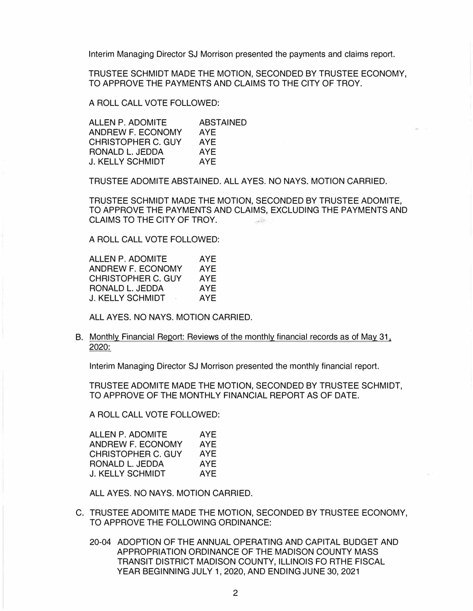Interim Managing Director SJ Morrison presented the payments and claims report.

TRUSTEE SCHMIDT MADE THE MOTION, SECONDED BY TRUSTEE ECONOMY, TO APPROVE THE PAYMENTS AND CLAIMS TO THE CITY OF TROY.

A ROLL CALL VOTE FOLLOWED:

| ALLEN P. ADOMITE        | <b>ABSTAINED</b> |
|-------------------------|------------------|
| ANDREW F. ECONOMY       | AYE              |
| CHRISTOPHER C. GUY      | <b>AYE</b>       |
| RONALD L. JEDDA         | AYE              |
| <b>J. KELLY SCHMIDT</b> | <b>AYF</b>       |

TRUSTEE ADOMITE ABSTAINED. ALL AYES. NO NAYS. MOTION CARRIED.

TRUSTEE SCHMIDT MADE THE MOTION, SECONDED BY TRUSTEE ADOMITE, TO APPROVE THE PAYMENTS AND CLAIMS, EXCLUDING THE PAYMENTS AND CLAIMS TO THE CITY OF TROY.

A ROLL CALL VOTE FOLLOWED:

| ALLEN P. ADOMITE           | AYF        |
|----------------------------|------------|
| ANDREW F. ECONOMY          | AYE        |
| CHRISTOPHER C. GUY         | AYF        |
| RONALD L. JEDDA            | AYE        |
| J. KELLY SCHMIDT<br>$\sim$ | <b>AYE</b> |

ALL AYES. NO NAYS. MOTION CARRIED.

## B. Monthly Financial Report: Reviews of the monthly financial records as of May 31, 2020:

Interim Managing Director SJ Morrison presented the monthly financial report.

TRUSTEE ADOMITE MADE THE MOTION, SECONDED BY TRUSTEE SCHMIDT, TO APPROVE OF THE MONTHLY FINANCIAL REPORT AS OF DATE.

A ROLL CALL VOTE FOLLOWED:

| ALLEN P. ADOMITE          | AYE |
|---------------------------|-----|
| ANDREW F. ECONOMY         | AYE |
| <b>CHRISTOPHER C. GUY</b> | AYF |
| RONALD L. JEDDA           | AYE |
| J. KELLY SCHMIDT          | AYF |

ALL AYES. NO NAYS. MOTION CARRIED.

- C. TRUSTEE ADOMITE MADE THE MOTION, SECONDED BY TRUSTEE ECONOMY, TO APPROVE THE FOLLOWING ORDINANCE:
	- 20-04 ADOPTION OF THE ANNUAL OPERATING AND CAPITAL BUDGET AND APPROPRIATION ORDINANCE OF THE MADISON COUNTY MASS TRANSIT DISTRICT MADISON COUNTY, ILLINOIS FO RTHE FISCAL YEAR BEGINNING JULY 1, 2020, AND ENDING JUNE 30, 2021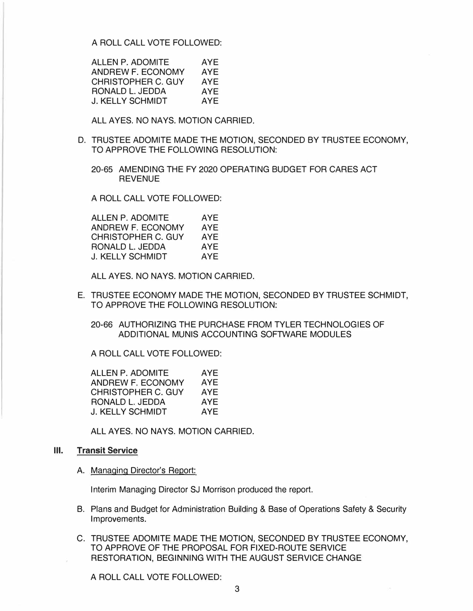A ROLL CALL VOTE FOLLOWED:

ALLEN P. ADOMITE AYE ANDREW F. ECONOMY AYE<br>CHRISTOPHER C. GUY AYE CHRISTOPHER C. GUY RONALD L. JEDDA AYE J. KELLY SCHMIDT AYE

ALL AYES. NO NAYS. MOTION CARRIED.

- D. TRUSTEE ADOMITE MADE THE MOTION, SECONDED BY TRUSTEE ECONOMY, TO APPROVE THE FOLLOWING RESOLUTION:
	- 20-65 AMENDING THE FY 2020 OPERATING BUDGET FOR CARES ACT **REVENUE**

A ROLL CALL VOTE FOLLOWED:

ALLEN P. ADOMITE AYE ANDREW F. ECONOMY AYE<br>CHRISTOPHER C. GUY AYE CHRISTOPHER C. GUY RONALD L. JEDDA AYE J. KELLY SCHMIDT AYE

ALL AYES. NO NAYS. MOTION CARRIED.

E. TRUSTEE ECONOMY MADE THE MOTION, SECONDED BY TRUSTEE SCHMIDT, TO APPROVE THE FOLLOWING RESOLUTION:

20-66 AUTHORIZING THE PURCHASE FROM TYLER TECHNOLOGIES OF ADDITIONAL MUNIS ACCOUNTING SOFTWARE MODULES

A ROLL CALL VOTE FOLLOWED:

ALLEN P. ADOMITE AYE ANDREW F. ECONOMY AYE CHRISTOPHER C. GUY AYE RONALD L. JEDDA AYE J. KELLY SCHMIDT AYE

ALL AYES. NO NAYS. MOTION CARRIED.

### **Ill. Transit Service**

A. Managing Director's Report:

Interim Managing Director SJ Morrison produced the report.

- B. Plans and Budget for Administration Building & Base of Operations Safety & Security Improvements.
- C. TRUSTEE ADOMITE MADE THE MOTION, SECONDED BY TRUSTEE ECONOMY, TO APPROVE OF THE PROPOSAL FOR FIXED-ROUTE SERVICE RESTORATION, BEGINNING WITH THE AUGUST SERVICE CHANGE

A ROLL CALL VOTE FOLLOWED: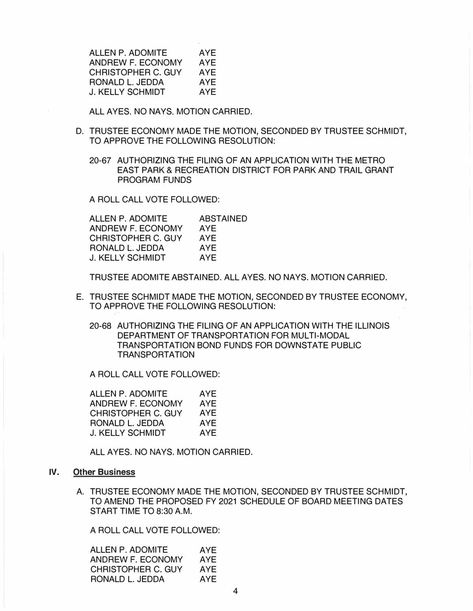ALLEN P. ADOMITE AYE<br>ANDREW F FCONOMY AYE ANDREW F. ECONOMY CHRISTOPHER C. GUY AYE<br>RONALD L. JEDDA AYE RONALD L. JEDDA AYE<br>J. KELLY SCHMIDT AYE **J. KELLY SCHMIDT** 

ALL AYES. NO NAYS. MOTION CARRIED.

- D. TRUSTEE ECONOMY MADE THE MOTION, SECONDED BY TRUSTEE SCHMIDT, TO APPROVE THE FOLLOWING RESOLUTION:
	- 20-67 AUTHORIZING THE FILING OF AN APPLICATION WITH THE METRO EAST PARK & RECREATION DISTRICT FOR PARK AND TRAIL GRANT PROGRAM FUNDS

A ROLL CALL VOTE FOLLOWED:

| ALLEN P. ADOMITE   | <b>ABSTAINED</b> |
|--------------------|------------------|
| ANDREW F. ECONOMY  | <b>AYE</b>       |
| CHRISTOPHER C. GUY | AYE              |
| RONALD L. JEDDA    | AYE              |
| J. KELLY SCHMIDT   | <b>AYE</b>       |

TRUSTEE ADOMITE ABSTAINED. ALL AYES. NO NAYS. MOTION CARRIED.

- E. TRUSTEE SCHMIDT MADE THE MOTION, SECONDED BY TRUSTEE ECONOMY, TO APPROVE THE FOLLOWING RESOLUTION:
	- 20-68 AUTHORIZING THE FILING OF AN APPLICATION WITH THE ILLINOIS DEPARTMENT OF TRANSPORTATION FOR MULTI-MODAL TRANSPORTATION BOND FUNDS FOR DOWNSTATE PUBLIC TRANSPORTATION

A ROLL CALL VOTE FOLLOWED:

ALLEN P. ADOMITE AYE ANDREW F. ECONOMY AYE CHRISTOPHER C. GUY AYE RONALD L. JEDDA AYE J. KELLY SCHMIDT AYE

ALL AYES. NO NAYS. MOTION CARRIED.

#### **IV. Other Business**

A. TRUSTEE ECONOMY MADE THE MOTION, SECONDED BY TRUSTEE SCHMIDT, TO AMEND THE PROPOSED FY 2021 SCHEDULE OF BOARD MEETING DATES START TIME TO 8:30 A.M.

A ROLL CALL VOTE FOLLOWED:

| ALLEN P. ADOMITE   | AYE |
|--------------------|-----|
| ANDREW F. ECONOMY  | AYE |
| CHRISTOPHER C. GUY | AYE |
| RONALD L. JEDDA    | AYE |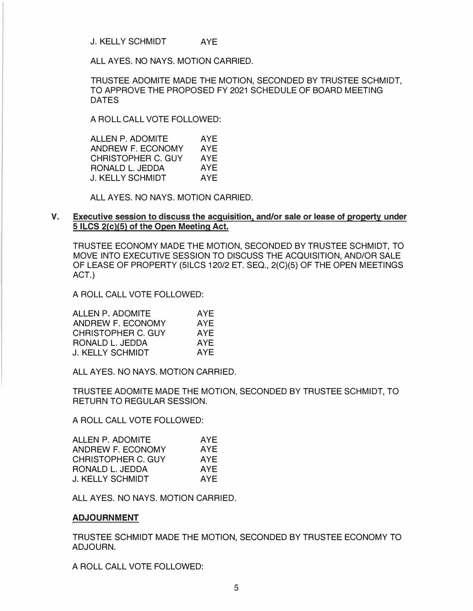J. KELLY SCHMIDT AYE

ALL AYES. NO NAYS. MOTION CARRIED.

TRUSTEE ADOMITE MADE THE MOTION, SECONDED BY TRUSTEE SCHMIDT, TO APPROVE THE PROPOSED FY 2021 SCHEDULE OF BOARD MEETING DATES

A ROLL CALL VOTE FOLLOWED:

ALLEN P. ADOMITE AYE<br>ANDREW F. ECONOMY AYE ANDREW F. ECONOMY AYE<br>CHRISTOPHER C. GUY AYE CHRISTOPHER C. GUY AYE<br>RONALD L. JEDDA AYE RONALD L. JEDDA AYE<br>J. KELLY SCHMIDT AYE **J. KELLY SCHMIDT** 

ALL AYES. NO NAYS. MOTION CARRIED.

# **V. Executive session to discuss the acquisition, and/or sale or lease of property under 5 ILCS 2(c)(5) of the Open Meeting Act.**

TRUSTEE ECONOMY MADE THE MOTION, SECONDED BY TRUSTEE SCHMIDT, TO MOVE INTO EXECUTIVE SESSION TO DISCUSS THE ACQUISITION, AND/OR SALE OF LEASE OF PROPERTY (5ILCS 120/2 ET. SEQ., 2(C)(5) OF THE OPEN MEETINGS ACT.)

A ROLL CALL VOTE FOLLOWED:

| ALLEN P. ADOMITE   | AYE        |
|--------------------|------------|
| ANDREW F. ECONOMY  | AYE        |
| CHRISTOPHER C. GUY | <b>AYE</b> |
| RONALD L. JEDDA    | AYE        |
| J. KELLY SCHMIDT   | AYE        |

ALL AYES. NO NAYS. MOTION CARRIED.

TRUSTEE ADOMITE MADE THE MOTION, SECONDED BY TRUSTEE SCHMIDT, TO RETURN TO REGULAR SESSION.

A ROLL CALL VOTE FOLLOWED:

| ALLEN P. ADOMITE          | AYE |
|---------------------------|-----|
| ANDREW F. ECONOMY         | AYE |
| <b>CHRISTOPHER C. GUY</b> | AYE |
| RONALD L. JEDDA           | AYE |
| J. KELLY SCHMIDT          | AYE |

ALL AYES. NO NAYS. MOTION CARRIED.

# **ADJOURNMENT**

TRUSTEE SCHMIDT MADE THE MOTION, SECONDED BY TRUSTEE ECONOMY TO ADJOURN.

A ROLL CALL VOTE FOLLOWED: